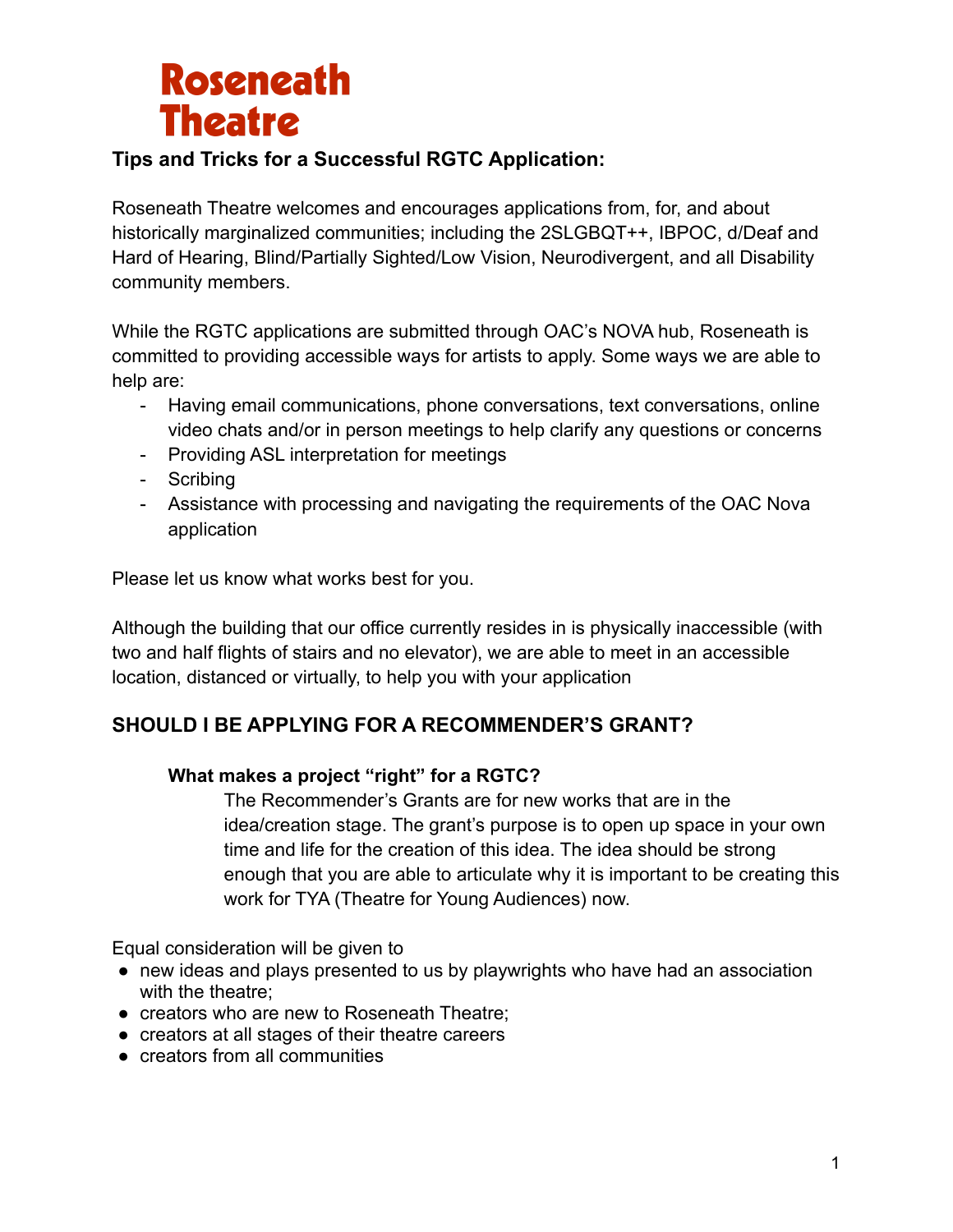# **Roseneath Theatre**

### **Tips and Tricks for a Successful RGTC Application:**

Roseneath Theatre welcomes and encourages applications from, for, and about historically marginalized communities; including the 2SLGBQT++, IBPOC, d/Deaf and Hard of Hearing, Blind/Partially Sighted/Low Vision, Neurodivergent, and all Disability community members.

While the RGTC applications are submitted through OAC's NOVA hub, Roseneath is committed to providing accessible ways for artists to apply. Some ways we are able to help are:

- Having email communications, phone conversations, text conversations, online video chats and/or in person meetings to help clarify any questions or concerns
- Providing ASL interpretation for meetings
- Scribing
- Assistance with processing and navigating the requirements of the OAC Nova application

Please let us know what works best for you.

Although the building that our office currently resides in is physically inaccessible (with two and half flights of stairs and no elevator), we are able to meet in an accessible location, distanced or virtually, to help you with your application

### **SHOULD I BE APPLYING FOR A RECOMMENDER'S GRANT?**

#### **What makes a project "right" for a RGTC?**

The Recommender's Grants are for new works that are in the idea/creation stage. The grant's purpose is to open up space in your own time and life for the creation of this idea. The idea should be strong enough that you are able to articulate why it is important to be creating this work for TYA (Theatre for Young Audiences) now.

Equal consideration will be given to

- new ideas and plays presented to us by playwrights who have had an association with the theatre;
- creators who are new to Roseneath Theatre;
- creators at all stages of their theatre careers
- creators from all communities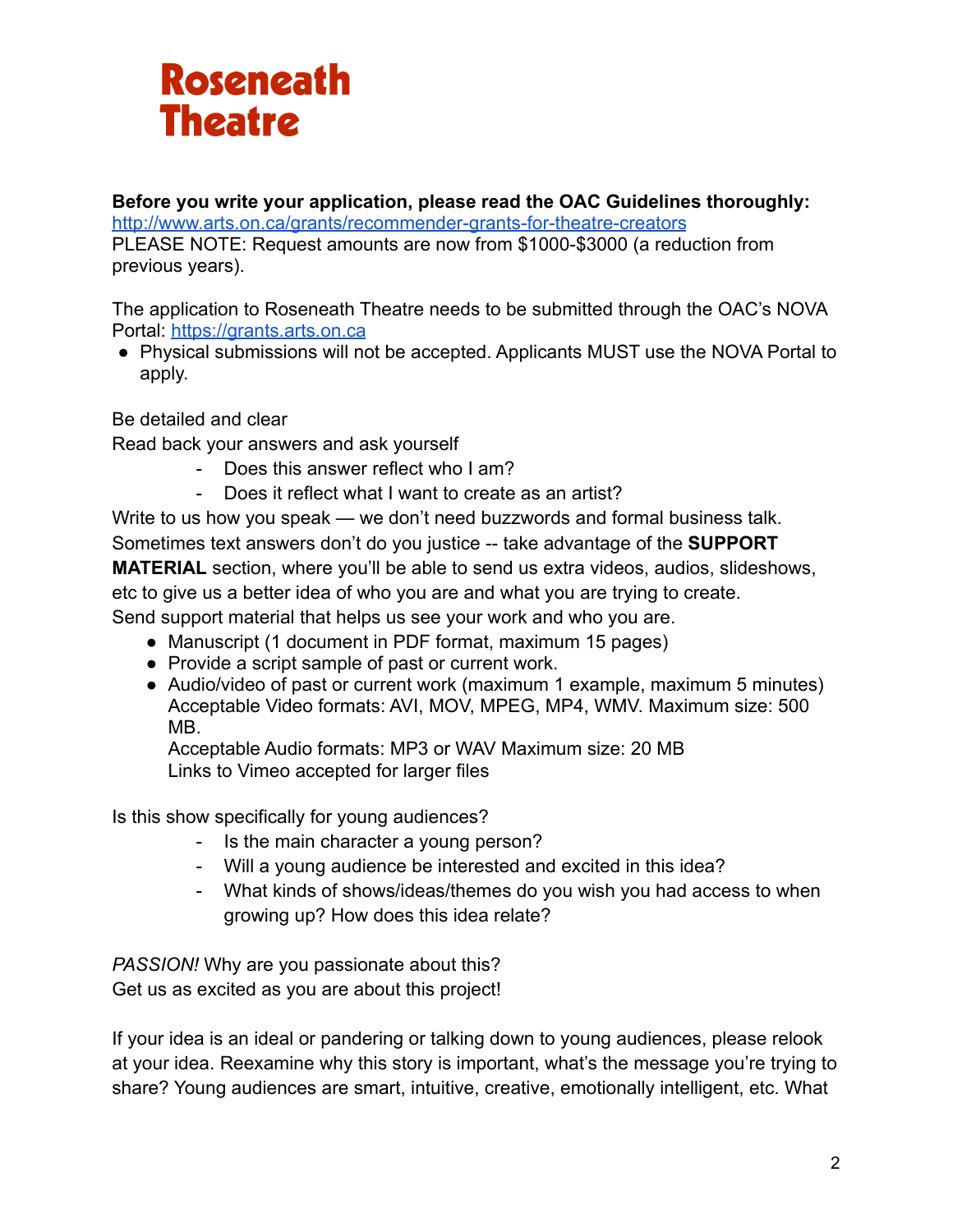# **Roseneath Theatre**

### **Before you write your application, please read the OAC Guidelines thoroughly:**

<http://www.arts.on.ca/grants/recommender-grants-for-theatre-creators>

PLEASE NOTE: Request amounts are now from \$1000-\$3000 (a reduction from previous years).

The application to Roseneath Theatre needs to be submitted through the OAC's NOVA Portal: <https://grants.arts.on.ca>

● Physical submissions will not be accepted. Applicants MUST use the NOVA Portal to apply.

Be detailed and clear

Read back your answers and ask yourself

- Does this answer reflect who I am?
- Does it reflect what I want to create as an artist?

Write to us how you speak — we don't need buzzwords and formal business talk. Sometimes text answers don't do you justice -- take advantage of the **SUPPORT MATERIAL** section, where you'll be able to send us extra videos, audios, slideshows, etc to give us a better idea of who you are and what you are trying to create. Send support material that helps us see your work and who you are.

- Manuscript (1 document in PDF format, maximum 15 pages)
- Provide a script sample of past or current work.
- Audio/video of past or current work (maximum 1 example, maximum 5 minutes) Acceptable Video formats: AVI, MOV, MPEG, MP4, WMV. Maximum size: 500 MB.

Acceptable Audio formats: MP3 or WAV Maximum size: 20 MB Links to Vimeo accepted for larger files

Is this show specifically for young audiences?

- Is the main character a young person?
- Will a young audience be interested and excited in this idea?
- What kinds of shows/ideas/themes do you wish you had access to when growing up? How does this idea relate?

*PASSION!* Why are you passionate about this? Get us as excited as you are about this project!

If your idea is an ideal or pandering or talking down to young audiences, please relook at your idea. Reexamine why this story is important, what's the message you're trying to share? Young audiences are smart, intuitive, creative, emotionally intelligent, etc. What